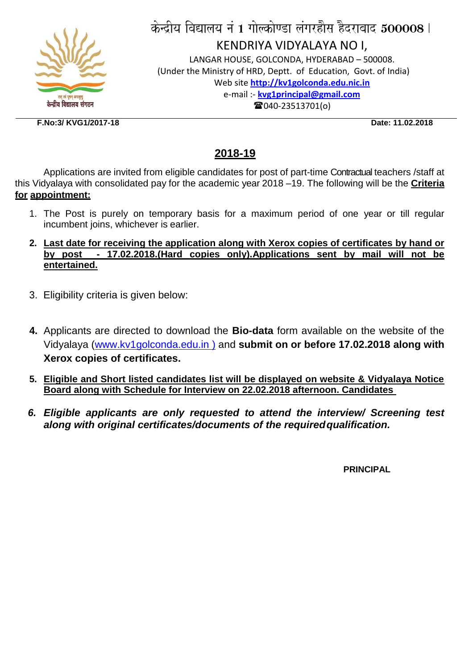

# केन्द्रीय विद्यालय नं 1 गोल्कोण्डा लंगरहौस हैदराबाद  $\bf 500008$  l KENDRIYA VIDYALAYA NO I, LANGAR HOUSE, GOLCONDA, HYDERABAD – 500008.

(Under the Ministry of HRD, Deptt. of Education, Govt. of India) Web site **[http://kv1golconda.edu.nic.in](http://kv1golconda.edu.nic.in/)** e-mail :- **[kvg1principal@gmail.com](mailto:kvg1principal@gmail.com) 雷040-23513701(o)** 

**F.No:3/ KVG1/2017-18 Date: 11.02.2018**

### **2018-19**

Applications are invited from eligible candidates for post of part-time Contractual teachers /staff at this Vidyalaya with consolidated pay for the academic year 2018 –19. The following will be the **Criteria for appointment:**

- 1. The Post is purely on temporary basis for a maximum period of one year or till regular incumbent joins, whichever is earlier.
- **2. Last date for receiving the application along with Xerox copies of certificates by hand or by post - 17.02.2018.(Hard copies only).Applications sent by mail will not be entertained.**
- 3. Eligibility criteria is given below:
- **4.** Applicants are directed to download the **Bio-data** form available on the website of the Vidyalaya (www.kv1golconda.edu.in ) and **submit on or before 17.02.2018 along with Xerox copies of certificates.**
- **5. Eligible and Short listed candidates list will be displayed on website & Vidyalaya Notice Board along with Schedule for Interview on 22.02.2018 afternoon. Candidates**
- *6. Eligible applicants are only requested to attend the interview/ Screening test along with original certificates/documents of the requiredqualification.*

**PRINCIPAL**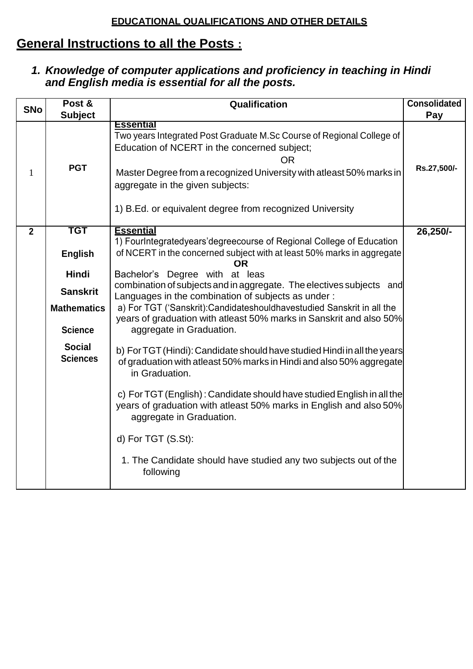#### **EDUCATIONAL QUALIFICATIONS AND OTHER DETAILS**

## **General Instructions to all the Posts :**

#### *1. Knowledge of computer applications and proficiency in teaching in Hindi and English media is essential for all the posts.*

|                | Post &                           | Qualification                                                                                                                                                                                                                                                                                                                  | <b>Consolidated</b> |
|----------------|----------------------------------|--------------------------------------------------------------------------------------------------------------------------------------------------------------------------------------------------------------------------------------------------------------------------------------------------------------------------------|---------------------|
| <b>SNo</b>     | <b>Subject</b>                   |                                                                                                                                                                                                                                                                                                                                | Pay                 |
| $\mathbf{1}$   | <b>PGT</b>                       | <b>Essential</b><br>Two years Integrated Post Graduate M.Sc Course of Regional College of<br>Education of NCERT in the concerned subject;<br><b>OR</b><br>Master Degree from a recognized University with atleast 50% marks in<br>aggregate in the given subjects:<br>1) B.Ed. or equivalent degree from recognized University | Rs.27,500/-         |
|                |                                  |                                                                                                                                                                                                                                                                                                                                |                     |
| $\overline{2}$ | TGT<br><b>English</b>            | <b>Essential</b><br>1) FourIntegratedyears'degreecourse of Regional College of Education<br>of NCERT in the concerned subject with at least 50% marks in aggregate<br>OR.                                                                                                                                                      | 26,250/-            |
|                | <b>Hindi</b>                     | Bachelor's Degree with at leas                                                                                                                                                                                                                                                                                                 |                     |
|                | <b>Sanskrit</b>                  | combination of subjects and in aggregate. The electives subjects and                                                                                                                                                                                                                                                           |                     |
|                |                                  | Languages in the combination of subjects as under:                                                                                                                                                                                                                                                                             |                     |
|                | <b>Mathematics</b>               | a) For TGT ('Sanskrit): Candidateshouldhavestudied Sanskrit in all the<br>years of graduation with atleast 50% marks in Sanskrit and also 50%                                                                                                                                                                                  |                     |
|                | <b>Science</b>                   | aggregate in Graduation.                                                                                                                                                                                                                                                                                                       |                     |
|                | <b>Social</b><br><b>Sciences</b> | b) For TGT (Hindi): Candidate should have studied Hindi in all the years<br>of graduation with atleast 50% marks in Hindi and also 50% aggregate<br>in Graduation.                                                                                                                                                             |                     |
|                |                                  | c) For TGT (English): Candidate should have studied English in all the<br>years of graduation with atleast 50% marks in English and also 50%<br>aggregate in Graduation.                                                                                                                                                       |                     |
|                |                                  | d) For TGT (S.St):                                                                                                                                                                                                                                                                                                             |                     |
|                |                                  | 1. The Candidate should have studied any two subjects out of the<br>following                                                                                                                                                                                                                                                  |                     |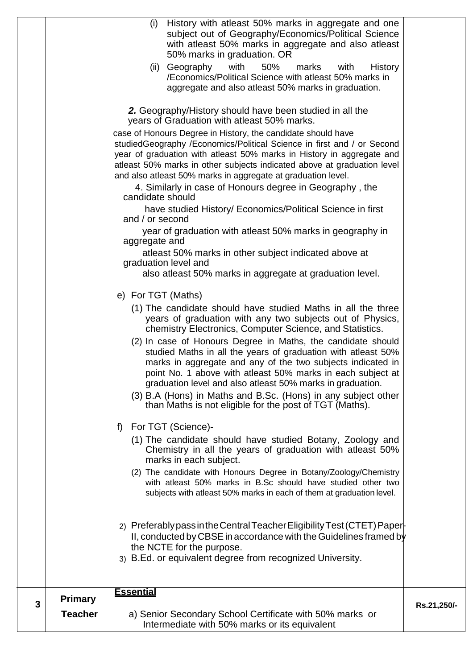|   |                                  | History with atleast 50% marks in aggregate and one<br>(i)<br>subject out of Geography/Economics/Political Science<br>with atleast 50% marks in aggregate and also atleast<br>50% marks in graduation. OR<br>(ii) Geography<br>with<br>50%<br>marks<br><b>History</b><br>with<br>/Economics/Political Science with atleast 50% marks in<br>aggregate and also atleast 50% marks in graduation.                                                                                                                                                                                                                                                                                                                                                                                                                    |             |
|---|----------------------------------|-------------------------------------------------------------------------------------------------------------------------------------------------------------------------------------------------------------------------------------------------------------------------------------------------------------------------------------------------------------------------------------------------------------------------------------------------------------------------------------------------------------------------------------------------------------------------------------------------------------------------------------------------------------------------------------------------------------------------------------------------------------------------------------------------------------------|-------------|
|   |                                  | 2. Geography/History should have been studied in all the<br>years of Graduation with atleast 50% marks.<br>case of Honours Degree in History, the candidate should have<br>studiedGeography /Economics/Political Science in first and / or Second<br>year of graduation with atleast 50% marks in History in aggregate and<br>atleast 50% marks in other subjects indicated above at graduation level<br>and also atleast 50% marks in aggregate at graduation level.<br>4. Similarly in case of Honours degree in Geography, the<br>candidate should<br>have studied History/ Economics/Political Science in first<br>and / or second<br>year of graduation with atleast 50% marks in geography in<br>aggregate and                                                                                              |             |
|   |                                  | atleast 50% marks in other subject indicated above at<br>graduation level and<br>also atleast 50% marks in aggregate at graduation level.<br>e) For TGT (Maths)<br>(1) The candidate should have studied Maths in all the three<br>years of graduation with any two subjects out of Physics,<br>chemistry Electronics, Computer Science, and Statistics.<br>(2) In case of Honours Degree in Maths, the candidate should<br>studied Maths in all the years of graduation with atleast 50%<br>marks in aggregate and any of the two subjects indicated in<br>point No. 1 above with atleast 50% marks in each subject at<br>graduation level and also atleast 50% marks in graduation.<br>(3) B.A (Hons) in Maths and B.Sc. (Hons) in any subject other<br>than Maths is not eligible for the post of TGT (Maths). |             |
|   |                                  | For TGT (Science)-<br>f)<br>(1) The candidate should have studied Botany, Zoology and<br>Chemistry in all the years of graduation with atleast 50%<br>marks in each subject.<br>(2) The candidate with Honours Degree in Botany/Zoology/Chemistry<br>with atleast 50% marks in B.Sc should have studied other two<br>subjects with atleast 50% marks in each of them at graduation level.<br>2) Preferably pass in the Central Teacher Eligibility Test (CTET) Paper-<br>II, conducted by CBSE in accordance with the Guidelines framed by<br>the NCTE for the purpose.<br>3) B.Ed. or equivalent degree from recognized University.                                                                                                                                                                              |             |
| 3 | <b>Primary</b><br><b>Teacher</b> | <b>Essential</b><br>a) Senior Secondary School Certificate with 50% marks or<br>Intermediate with 50% marks or its equivalent                                                                                                                                                                                                                                                                                                                                                                                                                                                                                                                                                                                                                                                                                     | Rs.21,250/- |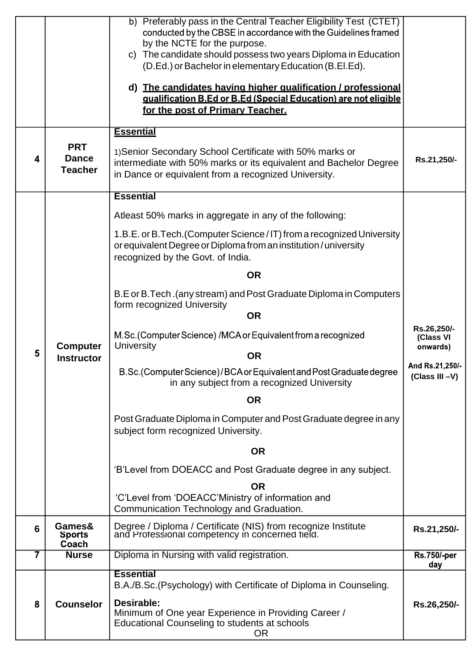|                |                                              | b) Preferably pass in the Central Teacher Eligibility Test (CTET)<br>conducted by the CBSE in accordance with the Guidelines framed<br>by the NCTE for the purpose.<br>c) The candidate should possess two years Diploma in Education<br>(D.Ed.) or Bachelor in elementary Education (B.El.Ed).<br>d) The candidates having higher qualification / professional<br>gualification B.Ed or B.Ed (Special Education) are not eligible<br>for the post of Primary Teacher.<br><b>Essential</b> |                                   |
|----------------|----------------------------------------------|--------------------------------------------------------------------------------------------------------------------------------------------------------------------------------------------------------------------------------------------------------------------------------------------------------------------------------------------------------------------------------------------------------------------------------------------------------------------------------------------|-----------------------------------|
| 4              | <b>PRT</b><br><b>Dance</b><br><b>Teacher</b> | 1) Senior Secondary School Certificate with 50% marks or<br>intermediate with 50% marks or its equivalent and Bachelor Degree<br>in Dance or equivalent from a recognized University.                                                                                                                                                                                                                                                                                                      | Rs.21,250/-                       |
|                |                                              | <b>Essential</b>                                                                                                                                                                                                                                                                                                                                                                                                                                                                           |                                   |
|                |                                              | Atleast 50% marks in aggregate in any of the following:                                                                                                                                                                                                                                                                                                                                                                                                                                    |                                   |
|                |                                              | 1.B.E. or B. Tech. (Computer Science / IT) from a recognized University<br>or equivalent Degree or Diploma from an institution / university<br>recognized by the Govt. of India.                                                                                                                                                                                                                                                                                                           |                                   |
|                |                                              | <b>OR</b>                                                                                                                                                                                                                                                                                                                                                                                                                                                                                  |                                   |
|                |                                              | B.E or B.Tech.(any stream) and Post Graduate Diploma in Computers<br>form recognized University<br><b>OR</b>                                                                                                                                                                                                                                                                                                                                                                               |                                   |
|                |                                              |                                                                                                                                                                                                                                                                                                                                                                                                                                                                                            | Rs.26,250/-                       |
| 5              | <b>Computer</b>                              | M.Sc. (Computer Science) /MCA or Equivalent from a recognized<br>University<br><b>OR</b>                                                                                                                                                                                                                                                                                                                                                                                                   | (Class VI<br>onwards)             |
|                | <b>Instructor</b>                            | B.Sc.(Computer Science)/BCA or Equivalent and Post Graduate degree<br>in any subject from a recognized University                                                                                                                                                                                                                                                                                                                                                                          | And Rs.21,250/-<br>(Class III -V) |
|                |                                              | <b>OR</b>                                                                                                                                                                                                                                                                                                                                                                                                                                                                                  |                                   |
|                |                                              | Post Graduate Diploma in Computer and Post Graduate degree in any<br>subject form recognized University.                                                                                                                                                                                                                                                                                                                                                                                   |                                   |
|                |                                              | <b>OR</b>                                                                                                                                                                                                                                                                                                                                                                                                                                                                                  |                                   |
|                |                                              | 'B'Level from DOEACC and Post Graduate degree in any subject.                                                                                                                                                                                                                                                                                                                                                                                                                              |                                   |
|                |                                              | <b>OR</b>                                                                                                                                                                                                                                                                                                                                                                                                                                                                                  |                                   |
|                |                                              | 'C'Level from 'DOEACC'Ministry of information and<br>Communication Technology and Graduation.                                                                                                                                                                                                                                                                                                                                                                                              |                                   |
| 6              | Games&<br><b>Sports</b><br>Coach             | Degree / Diploma / Certificate (NIS) from recognize Institute<br>and Protessional competency in concerned field.                                                                                                                                                                                                                                                                                                                                                                           | Rs.21,250/-                       |
| $\overline{7}$ | <b>Nurse</b>                                 | Diploma in Nursing with valid registration.                                                                                                                                                                                                                                                                                                                                                                                                                                                | <b>Rs.750/-per</b><br>day         |
| 8              | <b>Counselor</b>                             | <b>Essential</b><br>B.A./B.Sc.(Psychology) with Certificate of Diploma in Counseling.<br>Desirable:<br>Minimum of One year Experience in Providing Career /<br>Educational Counseling to students at schools                                                                                                                                                                                                                                                                               | Rs.26,250/-                       |
|                |                                              | <b>OR</b>                                                                                                                                                                                                                                                                                                                                                                                                                                                                                  |                                   |